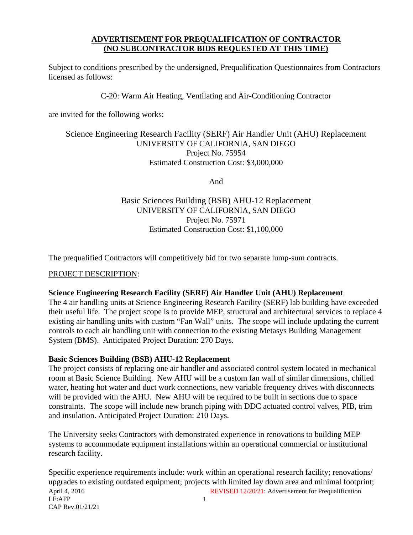#### **ADVERTISEMENT FOR PREQUALIFICATION OF CONTRACTOR (NO SUBCONTRACTOR BIDS REQUESTED AT THIS TIME)**

Subject to conditions prescribed by the undersigned, Prequalification Questionnaires from Contractors licensed as follows:

C-20: Warm Air Heating, Ventilating and Air-Conditioning Contractor

are invited for the following works:

#### Science Engineering Research Facility (SERF) Air Handler Unit (AHU) Replacement UNIVERSITY OF CALIFORNIA, SAN DIEGO Project No. 75954 Estimated Construction Cost: \$3,000,000

And

# Basic Sciences Building (BSB) AHU-12 Replacement UNIVERSITY OF CALIFORNIA, SAN DIEGO Project No. 75971 Estimated Construction Cost: \$1,100,000

The prequalified Contractors will competitively bid for two separate lump-sum contracts.

#### PROJECT DESCRIPTION:

#### **Science Engineering Research Facility (SERF) Air Handler Unit (AHU) Replacement**

The 4 air handling units at Science Engineering Research Facility (SERF) lab building have exceeded their useful life. The project scope is to provide MEP, structural and architectural services to replace 4 existing air handling units with custom "Fan Wall" units. The scope will include updating the current controls to each air handling unit with connection to the existing Metasys Building Management System (BMS). Anticipated Project Duration: 270 Days.

#### **Basic Sciences Building (BSB) AHU-12 Replacement**

The project consists of replacing one air handler and associated control system located in mechanical room at Basic Science Building. New AHU will be a custom fan wall of similar dimensions, chilled water, heating hot water and duct work connections, new variable frequency drives with disconnects will be provided with the AHU. New AHU will be required to be built in sections due to space constraints. The scope will include new branch piping with DDC actuated control valves, PIB, trim and insulation. Anticipated Project Duration: 210 Days.

The University seeks Contractors with demonstrated experience in renovations to building MEP systems to accommodate equipment installations within an operational commercial or institutional research facility.

April 4, 2016 **REVISED 12/20/21:** Advertisement for Prequalification  $LF:$ AFP 1 CAP Rev.01/21/21 Specific experience requirements include: work within an operational research facility; renovations/ upgrades to existing outdated equipment; projects with limited lay down area and minimal footprint;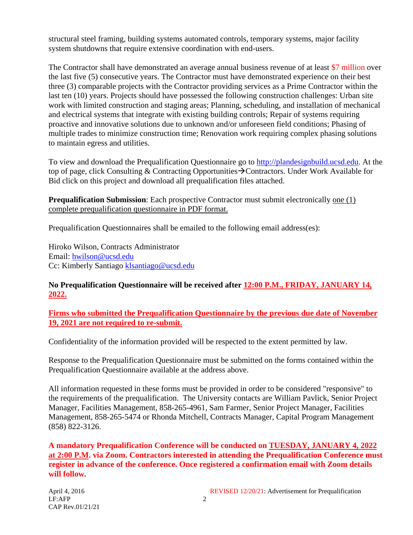structural steel framing, building systems automated controls, temporary systems, major facility system shutdowns that require extensive coordination with end-users.

The Contractor shall have demonstrated an average annual business revenue of at least \$7 million over the last five (5) consecutive years. The Contractor must have demonstrated experience on their best three (3) comparable projects with the Contractor providing services as a Prime Contractor within the last ten (10) years. Projects should have possessed the following construction challenges: Urban site work with limited construction and staging areas; Planning, scheduling, and installation of mechanical and electrical systems that integrate with existing building controls; Repair of systems requiring proactive and innovative solutions due to unknown and/or unforeseen field conditions; Phasing of multiple trades to minimize construction time; Renovation work requiring complex phasing solutions to maintain egress and utilities.

To view and download the Prequalification Questionnaire go to [http://plandesignbuild.ucsd.edu.](http://plandesignbuild.ucsd.edu/) At the top of page, click Consulting & Contracting Opportunities  $\rightarrow$  Contractors. Under Work Available for Bid click on this project and download all prequalification files attached.

**Prequalification Submission**: Each prospective Contractor must submit electronically one (1) complete prequalification questionnaire in PDF format.

Prequalification Questionnaires shall be emailed to the following email address(es):

Hiroko Wilson, Contracts Administrator Email: [hwilson@ucsd.edu](mailto:hwilson@ucsd.edu) Cc: Kimberly Santiago [klsantiago@ucsd.edu](mailto:klsantiago@ucsd.edu)

## **No Prequalification Questionnaire will be received after 12:00 P.M., FRIDAY, JANUARY 14, 2022.**

**Firms who submitted the Prequalification Questionnaire by the previous due date of November 19, 2021 are not required to re-submit.** 

Confidentiality of the information provided will be respected to the extent permitted by law.

Response to the Prequalification Questionnaire must be submitted on the forms contained within the Prequalification Questionnaire available at the address above.

All information requested in these forms must be provided in order to be considered "responsive" to the requirements of the prequalification. The University contacts are William Pavlick, Senior Project Manager, Facilities Management, 858-265-4961, Sam Farmer, Senior Project Manager, Facilities Management, 858-265-5474 or Rhonda Mitchell, Contracts Manager, Capital Program Management (858) 822-3126.

**A mandatory Prequalification Conference will be conducted on TUESDAY, JANUARY 4, 2022 at 2:00 P.M. via Zoom. Contractors interested in attending the Prequalification Conference must register in advance of the conference. Once registered a confirmation email with Zoom details will follow.**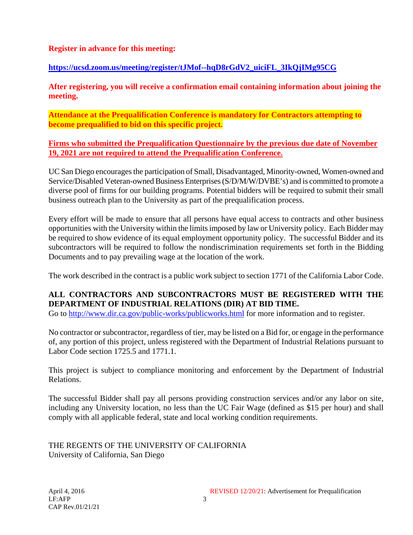#### **Register in advance for this meeting:**

### **[https://ucsd.zoom.us/meeting/register/tJMof--hqD8rGdV2\\_uiciFL\\_3IkQjIMg95CG](https://ucsd.zoom.us/meeting/register/tJMof--hqD8rGdV2_uiciFL_3IkQjIMg95CG)**

**After registering, you will receive a confirmation email containing information about joining the meeting.**

**Attendance at the Prequalification Conference is mandatory for Contractors attempting to become prequalified to bid on this specific project.**

**Firms who submitted the Prequalification Questionnaire by the previous due date of November 19, 2021 are not required to attend the Prequalification Conference.** 

UC San Diego encourages the participation of Small, Disadvantaged, Minority-owned, Women-owned and Service/Disabled Veteran-owned Business Enterprises (S/D/M/W/DVBE's) and is committed to promote a diverse pool of firms for our building programs. Potential bidders will be required to submit their small business outreach plan to the University as part of the prequalification process.

Every effort will be made to ensure that all persons have equal access to contracts and other business opportunities with the University within the limits imposed by law or University policy. Each Bidder may be required to show evidence of its equal employment opportunity policy. The successful Bidder and its subcontractors will be required to follow the nondiscrimination requirements set forth in the Bidding Documents and to pay prevailing wage at the location of the work.

The work described in the contract is a public work subject to section 1771 of the California Labor Code.

## **ALL CONTRACTORS AND SUBCONTRACTORS MUST BE REGISTERED WITH THE DEPARTMENT OF INDUSTRIAL RELATIONS (DIR) AT BID TIME.**

Go to<http://www.dir.ca.gov/public-works/publicworks.html> for more information and to register.

No contractor or subcontractor, regardless of tier, may be listed on a Bid for, or engage in the performance of, any portion of this project, unless registered with the Department of Industrial Relations pursuant to Labor Code section 1725.5 and 1771.1.

This project is subject to compliance monitoring and enforcement by the Department of Industrial Relations.

The successful Bidder shall pay all persons providing construction services and/or any labor on site, including any University location, no less than the UC Fair Wage (defined as \$15 per hour) and shall comply with all applicable federal, state and local working condition requirements.

THE REGENTS OF THE UNIVERSITY OF CALIFORNIA University of California, San Diego